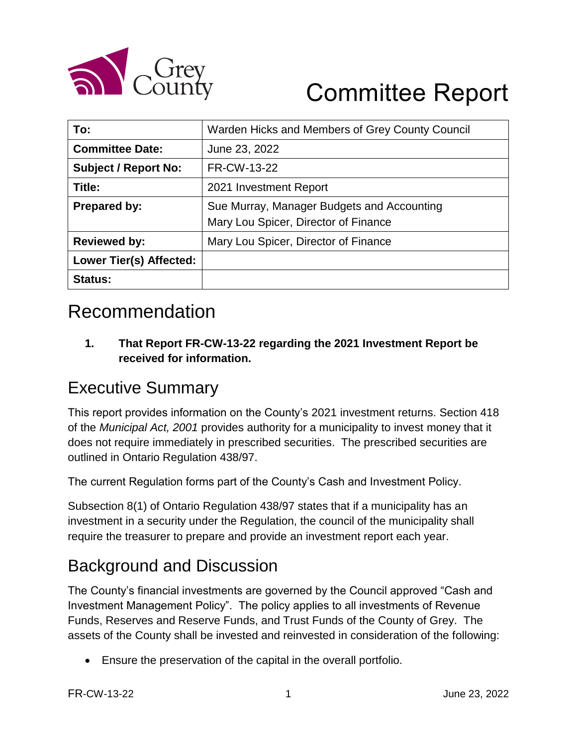

# Committee Report

| To:                            | Warden Hicks and Members of Grey County Council |  |  |  |  |  |
|--------------------------------|-------------------------------------------------|--|--|--|--|--|
| <b>Committee Date:</b>         | June 23, 2022                                   |  |  |  |  |  |
| <b>Subject / Report No:</b>    | FR-CW-13-22                                     |  |  |  |  |  |
| Title:                         | 2021 Investment Report                          |  |  |  |  |  |
| Prepared by:                   | Sue Murray, Manager Budgets and Accounting      |  |  |  |  |  |
|                                | Mary Lou Spicer, Director of Finance            |  |  |  |  |  |
| <b>Reviewed by:</b>            | Mary Lou Spicer, Director of Finance            |  |  |  |  |  |
| <b>Lower Tier(s) Affected:</b> |                                                 |  |  |  |  |  |
| <b>Status:</b>                 |                                                 |  |  |  |  |  |

# Recommendation

**1. That Report FR-CW-13-22 regarding the 2021 Investment Report be received for information.**

### Executive Summary

This report provides information on the County's 2021 investment returns. Section 418 of the *Municipal Act, 2001* provides authority for a municipality to invest money that it does not require immediately in prescribed securities. The prescribed securities are outlined in Ontario Regulation 438/97.

The current Regulation forms part of the County's Cash and Investment Policy.

Subsection 8(1) of Ontario Regulation 438/97 states that if a municipality has an investment in a security under the Regulation, the council of the municipality shall require the treasurer to prepare and provide an investment report each year.

### Background and Discussion

The County's financial investments are governed by the Council approved "Cash and Investment Management Policy". The policy applies to all investments of Revenue Funds, Reserves and Reserve Funds, and Trust Funds of the County of Grey. The assets of the County shall be invested and reinvested in consideration of the following:

Ensure the preservation of the capital in the overall portfolio.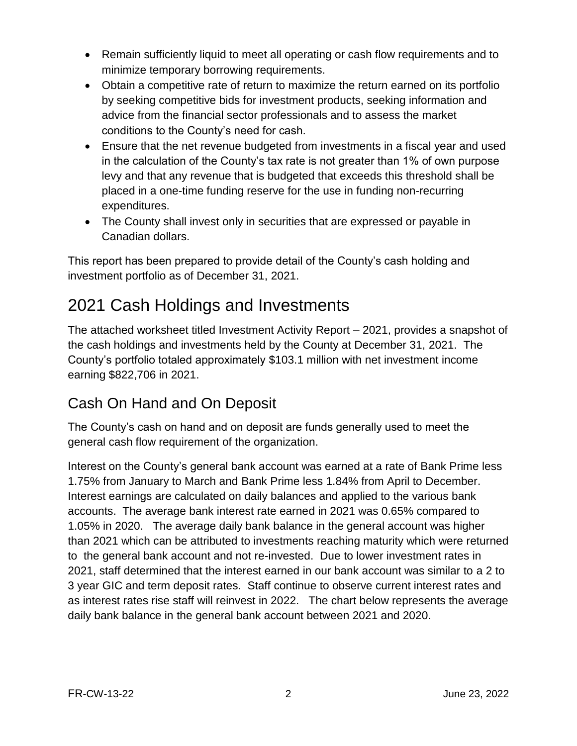- Remain sufficiently liquid to meet all operating or cash flow requirements and to minimize temporary borrowing requirements.
- Obtain a competitive rate of return to maximize the return earned on its portfolio by seeking competitive bids for investment products, seeking information and advice from the financial sector professionals and to assess the market conditions to the County's need for cash.
- Ensure that the net revenue budgeted from investments in a fiscal year and used in the calculation of the County's tax rate is not greater than 1% of own purpose levy and that any revenue that is budgeted that exceeds this threshold shall be placed in a one-time funding reserve for the use in funding non-recurring expenditures.
- The County shall invest only in securities that are expressed or payable in Canadian dollars.

This report has been prepared to provide detail of the County's cash holding and investment portfolio as of December 31, 2021.

### 2021 Cash Holdings and Investments

The attached worksheet titled Investment Activity Report – 2021, provides a snapshot of the cash holdings and investments held by the County at December 31, 2021. The County's portfolio totaled approximately \$103.1 million with net investment income earning \$822,706 in 2021.

### Cash On Hand and On Deposit

The County's cash on hand and on deposit are funds generally used to meet the general cash flow requirement of the organization.

Interest on the County's general bank account was earned at a rate of Bank Prime less 1.75% from January to March and Bank Prime less 1.84% from April to December. Interest earnings are calculated on daily balances and applied to the various bank accounts. The average bank interest rate earned in 2021 was 0.65% compared to 1.05% in 2020. The average daily bank balance in the general account was higher than 2021 which can be attributed to investments reaching maturity which were returned to the general bank account and not re-invested. Due to lower investment rates in 2021, staff determined that the interest earned in our bank account was similar to a 2 to 3 year GIC and term deposit rates. Staff continue to observe current interest rates and as interest rates rise staff will reinvest in 2022. The chart below represents the average daily bank balance in the general bank account between 2021 and 2020.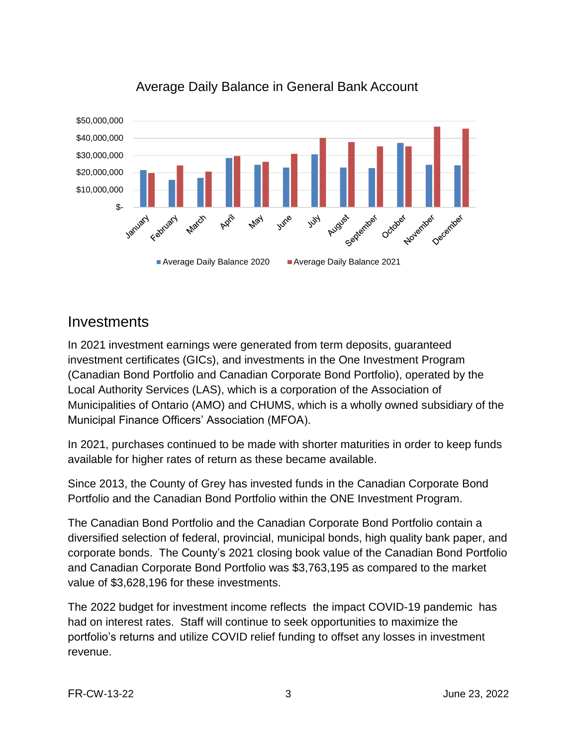

#### Average Daily Balance in General Bank Account

#### Investments

In 2021 investment earnings were generated from term deposits, guaranteed investment certificates (GICs), and investments in the One Investment Program (Canadian Bond Portfolio and Canadian Corporate Bond Portfolio), operated by the Local Authority Services (LAS), which is a corporation of the Association of Municipalities of Ontario (AMO) and CHUMS, which is a wholly owned subsidiary of the Municipal Finance Officers' Association (MFOA).

In 2021, purchases continued to be made with shorter maturities in order to keep funds available for higher rates of return as these became available.

Since 2013, the County of Grey has invested funds in the Canadian Corporate Bond Portfolio and the Canadian Bond Portfolio within the ONE Investment Program.

The Canadian Bond Portfolio and the Canadian Corporate Bond Portfolio contain a diversified selection of federal, provincial, municipal bonds, high quality bank paper, and corporate bonds. The County's 2021 closing book value of the Canadian Bond Portfolio and Canadian Corporate Bond Portfolio was \$3,763,195 as compared to the market value of \$3,628,196 for these investments.

The 2022 budget for investment income reflects the impact COVID-19 pandemic has had on interest rates. Staff will continue to seek opportunities to maximize the portfolio's returns and utilize COVID relief funding to offset any losses in investment revenue.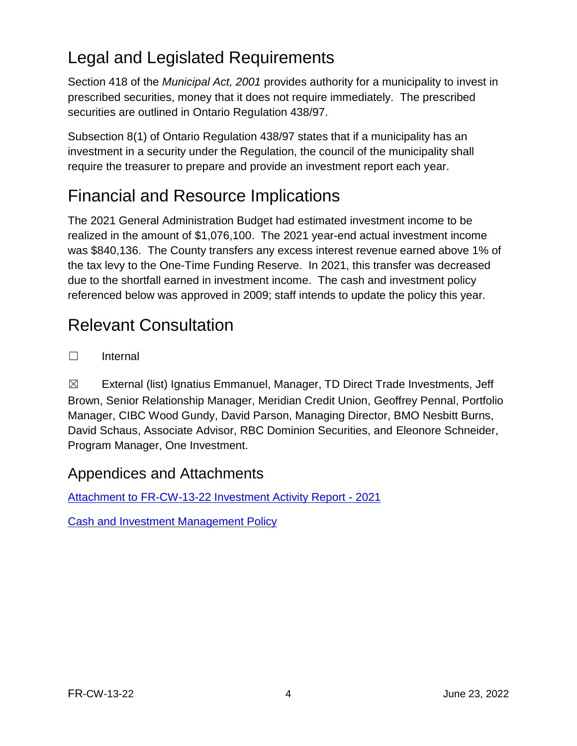# Legal and Legislated Requirements

Section 418 of the *Municipal Act, 2001* provides authority for a municipality to invest in prescribed securities, money that it does not require immediately. The prescribed securities are outlined in Ontario Regulation 438/97.

Subsection 8(1) of Ontario Regulation 438/97 states that if a municipality has an investment in a security under the Regulation, the council of the municipality shall require the treasurer to prepare and provide an investment report each year.

### Financial and Resource Implications

The 2021 General Administration Budget had estimated investment income to be realized in the amount of \$1,076,100. The 2021 year-end actual investment income was \$840,136. The County transfers any excess interest revenue earned above 1% of the tax levy to the One-Time Funding Reserve. In 2021, this transfer was decreased due to the shortfall earned in investment income. The cash and investment policy referenced below was approved in 2009; staff intends to update the policy this year.

# Relevant Consultation

☐ Internal

☒ External (list) Ignatius Emmanuel, Manager, TD Direct Trade Investments, Jeff Brown, Senior Relationship Manager, Meridian Credit Union, Geoffrey Pennal, Portfolio Manager, CIBC Wood Gundy, David Parson, Managing Director, BMO Nesbitt Burns, David Schaus, Associate Advisor, RBC Dominion Securities, and Eleonore Schneider, Program Manager, One Investment.

### Appendices and Attachments

[Attachment to FR-CW-13-22 Investment Activity Report -](https://docs.grey.ca/share/public?nodeRef=workspace://SpacesStore/69577075-b3f8-45ee-9226-f28e0ea140fa) 2021

[Cash and Investment Management Policy](https://docs.grey.ca/share/public?nodeRef=workspace://SpacesStore/20d5a685-b2e1-4cb4-adf6-66f2b5f24dfe)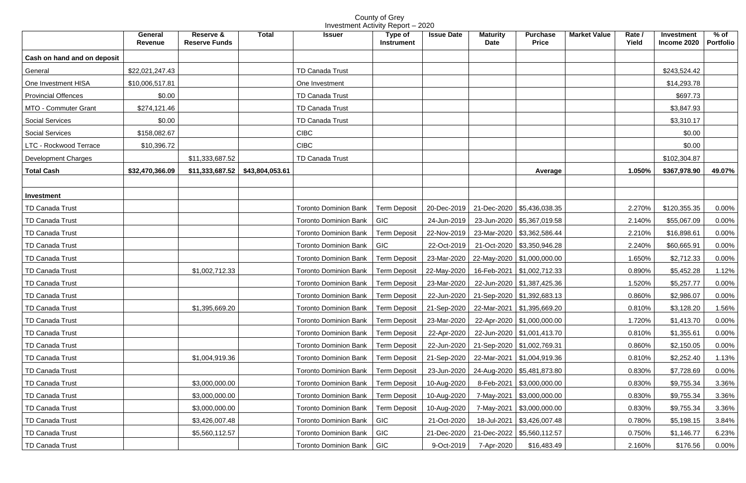County of Grey Investment Activity Report – 2020

|                             | <b>General</b><br><b>Revenue</b> | <b>Total</b><br>Reserve &<br><b>Reserve Funds</b> | <b>Issuer</b>                        | Type of<br><b>Instrument</b>                              | <b>Issue Date</b> | <b>Maturity</b><br><b>Date</b> | <b>Purchase</b><br><b>Price</b>            | <b>Market Value</b> | Rate /<br>Yield | Investment<br>Income 2020 | % of $\parallel$<br>Portfolio |
|-----------------------------|----------------------------------|---------------------------------------------------|--------------------------------------|-----------------------------------------------------------|-------------------|--------------------------------|--------------------------------------------|---------------------|-----------------|---------------------------|-------------------------------|
| Cash on hand and on deposit |                                  |                                                   |                                      |                                                           |                   |                                |                                            |                     |                 |                           |                               |
| General                     | \$22,021,247.43                  |                                                   | TD Canada Trust                      |                                                           |                   |                                |                                            |                     |                 | \$243,524.42              |                               |
| One Investment HISA         | \$10,006,517.81                  |                                                   | One Investment                       |                                                           |                   |                                |                                            |                     |                 | \$14,293.78               |                               |
| <b>Provincial Offences</b>  | \$0.00                           |                                                   | <b>TD Canada Trust</b>               |                                                           |                   |                                |                                            |                     |                 | \$697.73                  |                               |
| MTO - Commuter Grant        | \$274,121.46                     |                                                   | <b>TD Canada Trust</b>               |                                                           |                   |                                |                                            |                     |                 | \$3,847.93                |                               |
| <b>Social Services</b>      | \$0.00                           |                                                   | <b>TD Canada Trust</b>               |                                                           |                   |                                |                                            |                     |                 | \$3,310.17                |                               |
| <b>Social Services</b>      | \$158,082.67                     |                                                   | <b>CIBC</b>                          |                                                           |                   |                                |                                            |                     |                 | \$0.00                    |                               |
| LTC - Rockwood Terrace      | \$10,396.72                      |                                                   | <b>CIBC</b>                          |                                                           |                   |                                |                                            |                     |                 | \$0.00                    |                               |
| Development Charges         |                                  | \$11,333,687.52                                   | <b>TD Canada Trust</b>               |                                                           |                   |                                |                                            |                     |                 | \$102,304.87              |                               |
| <b>Total Cash</b>           | \$32,470,366.09                  | \$11,333,687.52<br>\$43,804,053.61                |                                      |                                                           |                   |                                | Average                                    |                     | 1.050%          | \$367,978.90              | 49.07%                        |
|                             |                                  |                                                   |                                      |                                                           |                   |                                |                                            |                     |                 |                           |                               |
| Investment                  |                                  |                                                   |                                      |                                                           |                   |                                |                                            |                     |                 |                           |                               |
| <b>TD Canada Trust</b>      |                                  |                                                   | <b>Toronto Dominion Bank</b>         | <b>Term Deposit</b>                                       |                   |                                | 20-Dec-2019   21-Dec-2020   \$5,436,038.35 |                     | 2.270%          | \$120,355.35              | 0.00%                         |
| TD Canada Trust             |                                  |                                                   | <b>Toronto Dominion Bank</b>         | <b>GIC</b>                                                | 24-Jun-2019       |                                | 23-Jun-2020   \$5,367,019.58               |                     | 2.140%          | \$55,067.09               | 0.00%                         |
| <b>TD Canada Trust</b>      |                                  |                                                   | <b>Toronto Dominion Bank</b>         | <b>Term Deposit</b>                                       | 22-Nov-2019       |                                | 23-Mar-2020   \$3,362,586.44               |                     | 2.210%          | \$16,898.61               | 0.00%                         |
| <b>TD Canada Trust</b>      |                                  |                                                   | <b>Toronto Dominion Bank</b>         | <b>GIC</b>                                                |                   |                                | 22-Oct-2019   21-Oct-2020   \$3,350,946.28 |                     | 2.240%          | \$60,665.91               | 0.00%                         |
| <b>TD Canada Trust</b>      |                                  |                                                   | <b>Toronto Dominion Bank</b>         | <b>Term Deposit</b>                                       |                   |                                | 23-Mar-2020   22-May-2020   \$1,000,000.00 |                     | 1.650%          | \$2,712.33                | $0.00\%$                      |
| TD Canada Trust             |                                  | \$1,002,712.33                                    | <b>Toronto Dominion Bank</b>         | <b>Term Deposit</b>                                       | 22-May-2020       |                                | 16-Feb-2021   \$1,002,712.33               |                     | 0.890%          | \$5,452.28                | 1.12%                         |
| TD Canada Trust             |                                  |                                                   | <b>Toronto Dominion Bank</b>         | <b>Term Deposit</b>                                       | 23-Mar-2020       |                                | 22-Jun-2020   \$1,387,425.36               |                     | 1.520%          | \$5,257.77                | $0.00\%$                      |
| <b>TD Canada Trust</b>      |                                  |                                                   | Toronto Dominion Bank   Term Deposit |                                                           |                   |                                | 22-Jun-2020 21-Sep-2020 \$1,392,683.13     |                     | 0.860%          | \$2,986.07                | $0.00\%$                      |
| <b>TD Canada Trust</b>      |                                  | \$1,395,669.20                                    | Toronto Dominion Bank                | Term Deposit   21-Sep-2020   22-Mar-2021   \$1,395,669.20 |                   |                                |                                            |                     | 0.810%          | \$3,128.20                | 1.56%                         |
| <b>TD Canada Trust</b>      |                                  |                                                   | <b>Toronto Dominion Bank</b>         | <b>Term Deposit</b>                                       | 23-Mar-2020       |                                | 22-Apr-2020   \$1,000,000.00               |                     | 1.720%          | \$1,413.70                | $0.00\%$                      |
| <b>TD Canada Trust</b>      |                                  |                                                   | <b>Toronto Dominion Bank</b>         | <b>Term Deposit</b>                                       | 22-Apr-2020       |                                | 22-Jun-2020   \$1,001,413.70               |                     | 0.810%          | \$1,355.61                | 0.00%                         |
| <b>TD Canada Trust</b>      |                                  |                                                   | <b>Toronto Dominion Bank</b>         | <b>Term Deposit</b>                                       | 22-Jun-2020       |                                | 21-Sep-2020   \$1,002,769.31               |                     | 0.860%          | \$2,150.05                | 0.00%                         |
| TD Canada Trust             |                                  | \$1,004,919.36                                    | <b>Toronto Dominion Bank</b>         | <b>Term Deposit</b>                                       | 21-Sep-2020       |                                | 22-Mar-2021   \$1,004,919.36               |                     | 0.810%          | \$2,252.40                | 1.13%                         |
| <b>TD Canada Trust</b>      |                                  |                                                   | <b>Toronto Dominion Bank</b>         | <b>Term Deposit</b>                                       | 23-Jun-2020       |                                | 24-Aug-2020   \$5,481,873.80               |                     | 0.830%          | \$7,728.69                | 0.00%                         |
| <b>TD Canada Trust</b>      |                                  | \$3,000,000.00                                    | <b>Toronto Dominion Bank</b>         | <b>Term Deposit</b>                                       | 10-Aug-2020       |                                | 8-Feb-2021   \$3,000,000.00                |                     | 0.830%          | \$9,755.34                | 3.36%                         |
| <b>TD Canada Trust</b>      |                                  | \$3,000,000.00                                    | <b>Toronto Dominion Bank</b>         | <b>Term Deposit</b>                                       | 10-Aug-2020       |                                | 7-May-2021   \$3,000,000.00                |                     | 0.830%          | \$9,755.34                | 3.36%                         |
| <b>TD Canada Trust</b>      |                                  | \$3,000,000.00                                    | <b>Toronto Dominion Bank</b>         | <b>Term Deposit</b>                                       | 10-Aug-2020       |                                | 7-May-2021   \$3,000,000.00                |                     | 0.830%          | \$9,755.34                | 3.36%                         |
| <b>TD Canada Trust</b>      |                                  | \$3,426,007.48                                    | <b>Toronto Dominion Bank</b>         | <b>GIC</b>                                                | 21-Oct-2020       |                                | 18-Jul-2021   \$3,426,007.48               |                     | 0.780%          | \$5,198.15                | 3.84%                         |
| TD Canada Trust             |                                  | \$5,560,112.57                                    | <b>Toronto Dominion Bank</b>         | <b>GIC</b>                                                | 21-Dec-2020       |                                | 21-Dec-2022   \$5,560,112.57               |                     | 0.750%          | \$1,146.77                | 6.23%                         |
| <b>TD Canada Trust</b>      |                                  |                                                   | Toronto Dominion Bank   GIC          |                                                           | 9-Oct-2019        | 7-Apr-2020                     | \$16,483.49                                |                     | 2.160%          | \$176.56                  | $0.00\%$                      |